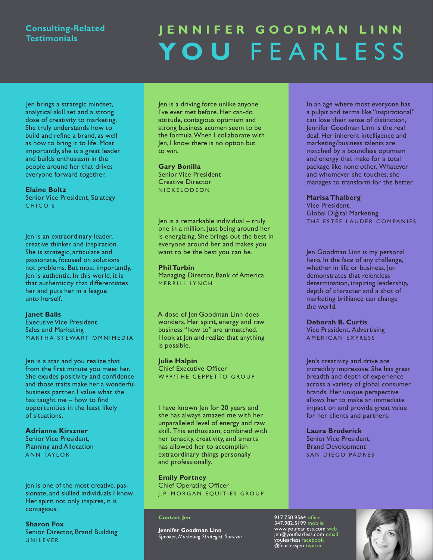# **Consulting-Related Testimonials**

# **J e n n i f e R G o o d m a n L i n n Y o u** F e a r l e s s

Jen brings a strategic mindset, analytical skill set and a strong dose of creativity to marketing. She truly understands how to build and refine a brand, as well as how to bring it to life. Most importantly, she is a great leader and builds enthusiasm in the people around her that drives everyone forward together.

#### **Elaine Boltz**

Senior Vice President, Strategy CHICO'S

Jen is an extraordinary leader, creative thinker and inspiration. She is strategic, articulate and passionate, focused on solutions not problems. But most importantly, Jen is authentic. In this world, it is that authenticity that differentiates her and puts her in a league unto herself.

#### **Janet Balis**

**Executive Vice President,** Sales and Marketing MARTHA STEWART OMNIMEDIA

Jen is a star and you realize that from the first minute you meet her. She exudes positivity and confidence and those traits make her a wonderful business partner. I value what she has taught me – how to find opportunities in the least likely of situations.

### **Adrianne Kirszner**

Senior Vice President, Planning and Allocation ANN TAYLOR

Jen is one of the most creative, passionate, and skilled individuals I know. Her spirit not only inspires, it is contagious.

#### **Sharon Fox**

Senior Director, Brand Building U N I L E V E R

Jen is a driving force unlike anyone I've ever met before. Her can-do attitude, contagious optimism and strong business acumen seem to be the formula.When I collaborate with Jen, I know there is no option but to win.

#### **Gary Bonilla**

Senior Vice President Creative Director N I C K E L O D E O N

Jen is a remarkable individual – truly one in a million. Just being around her is energizing. She brings out the best in everyone around her and makes you want to be the best you can be.

#### **Phil Turbin**

Managing Director, Bank of America MERRILL LYNCH

A dose of Jen Goodman linn does wonders. Her spirit, energy and raw business "how to" are unmatched. I look at Jen and realize that anything is possible.

#### **Julie Halpin**

**Chief Executive Officer** W P P / THE GEPPETTO GROUP

I have known Jen for 20 years and she has always amazed me with her unparalleled level of energy and raw skill. This enthusiasm, combined with her tenacity, creativity, and smarts has allowed her to accomplish extraordinary things personally and professionally.

#### **Emily Portney**

**Chief Operating Officer J.P. MORGAN EQUITIES GROUP** 

#### **Contact Jen**

**Jennifer Goodman Linn** *Speaker, Marketing Strategist, Survivor* In an age where most everyone has a pulpit and terms like "inspirational" can lose their sense of distinction, Jennifer Goodman linn is the real deal. Her inherent intelligence and marketing/business talents are matched by a boundless optimism and energy that make for a total package like none other. Whatever and whomever she touches, she manages to transform for the better.

#### **Marisa Thalberg**

Vice President, Global Digital Marketing THE ESTÉE LAUDER COMPANIES

Jen Goodman Linn is my personal hero. In the face of any challenge, whether in life or business, Jen demonstrates that relentless determination, inspiring leadership, depth of character and a shot of marketing brilliance can change the world.

**deborah B. Curtis**

Vice President, Advertising AMERICAN EXPRESS

Jen's creativity and drive are incredibly impressive. She has great breadth and depth of experience across a variety of global consumer brands. Her unique perspective allows her to make an immediate impact on and provide great value for her clients and partners.

#### **Laura Broderick**

917.750.9564 office 347.982.5199 mobile www.youfearless.com web jen@youfearless.com email youfearless facebook @fearlessjen twitter

Senior Vice President, Brand Development SAN DIEGO PADRES

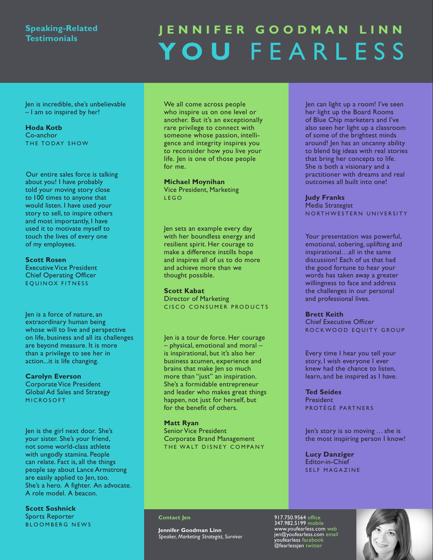## **Speaking-Related Testimonials**

# **J e n n i f e R G o o d m a n L i n n Y o u** F e a r l e s s

Jen is incredible, she's unbelievable – I am so inspired by her!

#### **Hoda Kotb**

Co-anchor THE TODAY SHOW

Our entire sales force is talking about you! I have probably told your moving story close to 100 times to anyone that would listen. I have used your story to sell, to inspire others and most importantly, I have used it to motivate myself to touch the lives of every one of my employees.

#### **Scott Rosen**

**Executive Vice President Chief Operating Officer** EQUINOX FITNESS

Jen is a force of nature, an extraordinary human being whose will to live and perspective on life, business and all its challenges are beyond measure. It is more than a privilege to see her in action...it is life changing.

#### **Carolyn Everson**

Corporate Vice President Global Ad Sales and Strategy **MICROSOFT** 

Jen is the girl next door. She's your sister. She's your friend, not some world-class athlete with ungodly stamina. People can relate. Fact is, all the things people say about lance Armstrong are easily applied to Jen, too. She's a hero. A fighter. An advocate. A role model. A beacon.

**Scott Soshnick** Sports Reporter BLOOMBERG NEWS We all come across people who inspire us on one level or another. But it's an exceptionally rare privilege to connect with someone whose passion, intelligence and integrity inspires you to reconsider how you live your life. Jen is one of those people for me.

#### **Michael Moynihan**

Vice President, Marketing l e G o

Jen sets an example every day with her boundless energy and resilient spirit. Her courage to make a difference instills hope and inspires all of us to do more and achieve more than we thought possible.

#### **Scott Kabat**

Director of Marketing CISCO CONSUMER PRODUCTS

Jen is a tour de force. Her courage – physical, emotional and moral – is inspirational, but it's also her business acumen, experience and brains that make Jen so much more than "just" an inspiration. She's a formidable entrepreneur and leader who makes great things happen, not just for herself, but for the benefit of others.

#### **Matt Ryan**

Senior Vice President Corporate Brand Management THE WALT DISNEY COMPANY Jen can light up a room! I've seen her light up the Board Rooms of Blue Chip marketers and I've also seen her light up a classroom of some of the brightest minds around! Jen has an uncanny ability to blend big ideas with real stories that bring her concepts to life. She is both a visionary and a practitioner with dreams and real outcomes all built into one!

#### **Judy Franks** Media Strategist N ORTHWESTERN UNIVERSITY

Your presentation was powerful, emotional, sobering, uplifting and inspirational…all in the same discussion! Each of us that had the good fortune to hear your words has taken away a greater willingness to face and address the challenges in our personal and professional lives.

#### **Brett Keith**

**Chief Executive Officer** ROCKWOOD EQUITY GROUP

Every time I hear you tell your story, I wish everyone I ever knew had the chance to listen, learn, and be inspired as I have.

#### **Ted Seides**

**President** PROTÉGÉ PARTNERS

Jen's story is so moving …she is the most inspiring person I know!

**Lucy Danziger** Editor-in-Chief SELF MAGAZINE

#### **Contact Jen**

**Jennifer Goodman Linn** *Speaker, Marketing Strategist, Survivor*

917.750.9564 office 347.982.5199 mobile www.youfearless.com web jen@youfearless.com email youfearless facebook @fearlessjen twitter

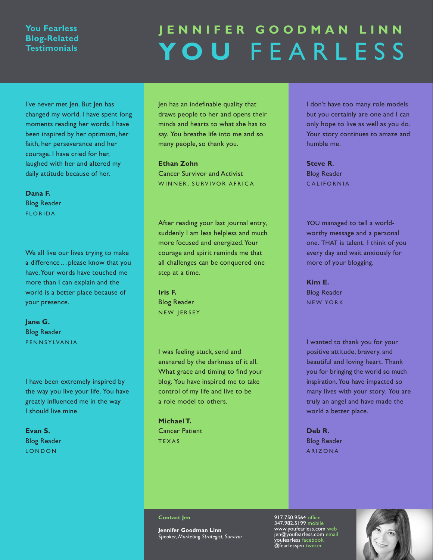## **You fearless Blog-Related Testimonials**

# **J e n n i f e R G o o d m a n L i n n Y o u** F e a r l e s s

I've never met Jen. But Jen has changed my world. I have spent long moments reading her words. I have been inspired by her optimism, her faith, her perseverance and her courage. I have cried for her, laughed with her and altered my daily attitude because of her.

#### **Dana F.** Blog Reader

**FLORIDA** 

We all live our lives trying to make a difference…please know that you have. Your words have touched me more than I can explain and the world is a better place because of your presence.

### **Jane G.** Blog Reader PENNSYLVANIA

I have been extremely inspired by the way you live your life. You have greatly influenced me in the way I should live mine.

**Evan S.** Blog Reader **LONDON** 

Jen has an indefinable quality that draws people to her and opens their minds and hearts to what she has to say. You breathe life into me and so many people, so thank you.

#### **Ethan Zohn**

Cancer Survivor and Activist WINNER, SURVIVOR AFRICA

After reading your last journal entry, suddenly I am less helpless and much more focused and energized. Your courage and spirit reminds me that all challenges can be conquered one step at a time.

### **Iris F.** Blog Reader NEW JERSEY

I was feeling stuck, send and ensnared by the darkness of it all. What grace and timing to find your blog. You have inspired me to take control of my life and live to be a role model to others.

**Michael T.** Cancer Patient **TEXAS** 

I don't have too many role models but you certainly are one and I can only hope to live as well as you do. Your story continues to amaze and humble me.

**Steve R.** Blog Reader C A L I F O R N I A

YOU managed to tell a worldworthy message and a personal one. THAT is talent. I think of you every day and wait anxiously for more of your blogging.

**Kim E.** Blog Reader NEW YORK

I wanted to thank you for your positive attitude, bravery, and beautiful and loving heart. Thank you for bringing the world so much inspiration. You have impacted so many lives with your story. You are truly an angel and have made the world a better place.

**Deb R.** Blog Reader A R I Z o N A

#### **Contact Jen**

**Jennifer Goodman Linn** *Speaker, Marketing Strategist, Survivor* 917.750.9564 office 347.982.5199 mobile www.youfearless.com web jen@youfearless.com email youfearless facebook @fearlessjen twitter